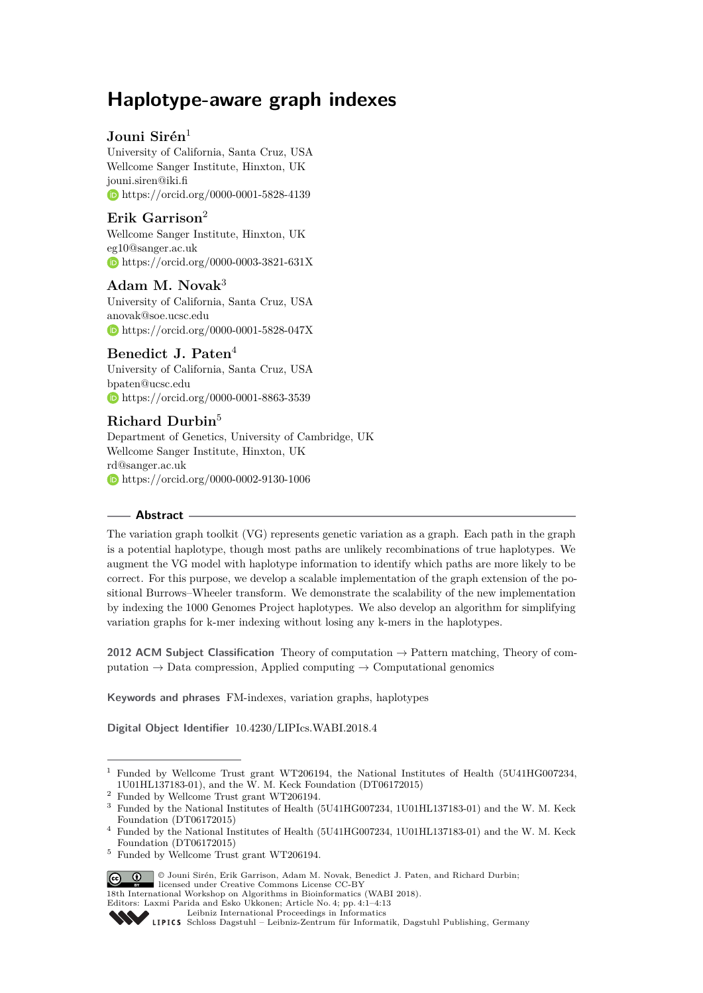# **Haplotype-aware graph indexes**

# **Jouni Sirén**<sup>1</sup>

University of California, Santa Cruz, USA Wellcome Sanger Institute, Hinxton, UK [jouni.siren@iki.fi](mailto:jouni.siren@iki.fi) <https://orcid.org/0000-0001-5828-4139>

# **Erik Garrison**<sup>2</sup>

Wellcome Sanger Institute, Hinxton, UK [eg10@sanger.ac.uk](mailto:eg10@sanger.ac.uk) <https://orcid.org/0000-0003-3821-631X>

# **Adam M. Novak**<sup>3</sup>

University of California, Santa Cruz, USA [anovak@soe.ucsc.edu](mailto:anovak@soe.ucsc.edu) <https://orcid.org/0000-0001-5828-047X>

# **Benedict J. Paten**<sup>4</sup>

University of California, Santa Cruz, USA [bpaten@ucsc.edu](mailto:bpaten@ucsc.edu) <https://orcid.org/0000-0001-8863-3539>

# **Richard Durbin**<sup>5</sup>

Department of Genetics, University of Cambridge, UK Wellcome Sanger Institute, Hinxton, UK [rd@sanger.ac.uk](mailto:rd@sanger.ac.uk) <https://orcid.org/0000-0002-9130-1006>

# **Abstract**

The variation graph toolkit (VG) represents genetic variation as a graph. Each path in the graph is a potential haplotype, though most paths are unlikely recombinations of true haplotypes. We augment the VG model with haplotype information to identify which paths are more likely to be correct. For this purpose, we develop a scalable implementation of the graph extension of the positional Burrows–Wheeler transform. We demonstrate the scalability of the new implementation by indexing the 1000 Genomes Project haplotypes. We also develop an algorithm for simplifying variation graphs for k-mer indexing without losing any k-mers in the haplotypes.

**2012 ACM Subject Classification** Theory of computation → Pattern matching, Theory of computation  $\rightarrow$  Data compression, Applied computing  $\rightarrow$  Computational genomics

**Keywords and phrases** FM-indexes, variation graphs, haplotypes

**Digital Object Identifier** [10.4230/LIPIcs.WABI.2018.4](http://dx.doi.org/10.4230/LIPIcs.WABI.2018.4)

<sup>5</sup> Funded by Wellcome Trust grant WT206194.



18th International Workshop on Algorithms in Bioinformatics (WABI 2018).

<sup>&</sup>lt;sup>1</sup> Funded by Wellcome Trust grant WT206194, the National Institutes of Health (5U41HG007234, 1U01HL137183-01), and the W. M. Keck Foundation (DT06172015)

<sup>&</sup>lt;sup>2</sup> Funded by Wellcome Trust grant WT206194.<br><sup>3</sup> Funded by the National Institutes of Health  $($ 

<sup>3</sup> Funded by the National Institutes of Health (5U41HG007234, 1U01HL137183-01) and the W. M. Keck Foundation (DT06172015)

<sup>4</sup> Funded by the National Institutes of Health (5U41HG007234, 1U01HL137183-01) and the W. M. Keck Foundation (DT06172015)

Editors: Laxmi Parida and Esko Ukkonen; Article No. 4; pp. 4:1–4[:13](#page-12-0)

[Leibniz International Proceedings in Informatics](http://www.dagstuhl.de/lipics/)

[Schloss Dagstuhl – Leibniz-Zentrum für Informatik, Dagstuhl Publishing, Germany](http://www.dagstuhl.de)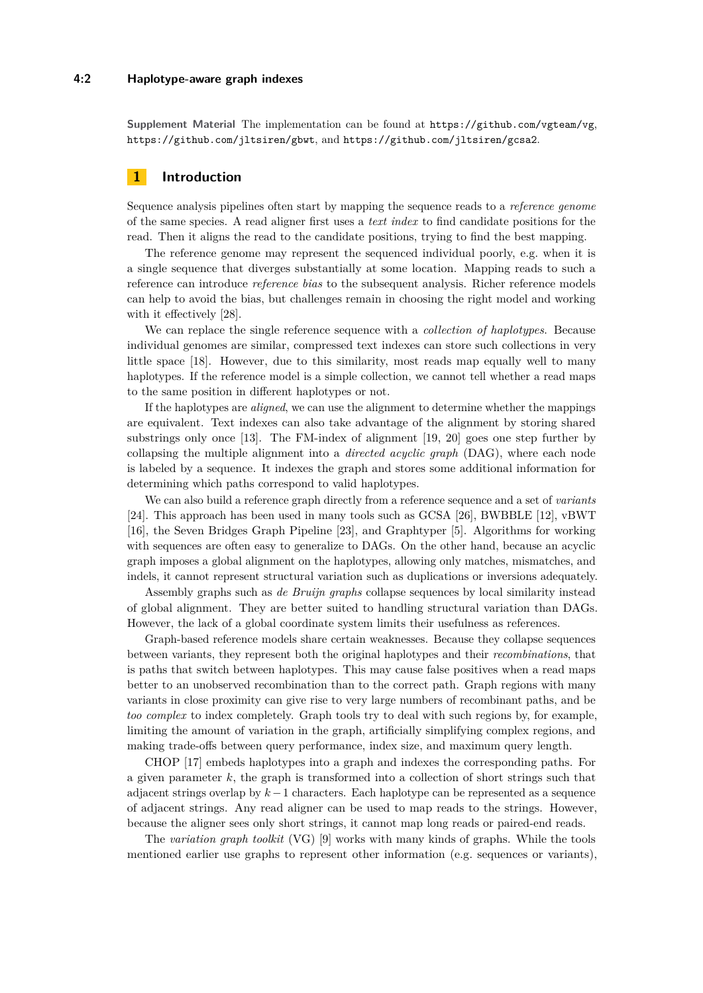#### **4:2 Haplotype-aware graph indexes**

**Supplement Material** The implementation can be found at <https://github.com/vgteam/vg>, <https://github.com/jltsiren/gbwt>, and <https://github.com/jltsiren/gcsa2>.

# **1 Introduction**

Sequence analysis pipelines often start by mapping the sequence reads to a *reference genome* of the same species. A read aligner first uses a *text index* to find candidate positions for the read. Then it aligns the read to the candidate positions, trying to find the best mapping.

The reference genome may represent the sequenced individual poorly, e.g. when it is a single sequence that diverges substantially at some location. Mapping reads to such a reference can introduce *reference bias* to the subsequent analysis. Richer reference models can help to avoid the bias, but challenges remain in choosing the right model and working with it effectively [\[28\]](#page-12-1).

We can replace the single reference sequence with a *collection of haplotypes*. Because individual genomes are similar, compressed text indexes can store such collections in very little space [\[18\]](#page-12-2). However, due to this similarity, most reads map equally well to many haplotypes. If the reference model is a simple collection, we cannot tell whether a read maps to the same position in different haplotypes or not.

If the haplotypes are *aligned*, we can use the alignment to determine whether the mappings are equivalent. Text indexes can also take advantage of the alignment by storing shared substrings only once [\[13\]](#page-12-3). The FM-index of alignment [\[19,](#page-12-4) [20\]](#page-12-5) goes one step further by collapsing the multiple alignment into a *directed acyclic graph* (DAG), where each node is labeled by a sequence. It indexes the graph and stores some additional information for determining which paths correspond to valid haplotypes.

We can also build a reference graph directly from a reference sequence and a set of *variants* [\[24\]](#page-12-6). This approach has been used in many tools such as GCSA [\[26\]](#page-12-7), BWBBLE [\[12\]](#page-12-8), vBWT [\[16\]](#page-12-9), the Seven Bridges Graph Pipeline [\[23\]](#page-12-10), and Graphtyper [\[5\]](#page-11-0). Algorithms for working with sequences are often easy to generalize to DAGs. On the other hand, because an acyclic graph imposes a global alignment on the haplotypes, allowing only matches, mismatches, and indels, it cannot represent structural variation such as duplications or inversions adequately.

Assembly graphs such as *de Bruijn graphs* collapse sequences by local similarity instead of global alignment. They are better suited to handling structural variation than DAGs. However, the lack of a global coordinate system limits their usefulness as references.

Graph-based reference models share certain weaknesses. Because they collapse sequences between variants, they represent both the original haplotypes and their *recombinations*, that is paths that switch between haplotypes. This may cause false positives when a read maps better to an unobserved recombination than to the correct path. Graph regions with many variants in close proximity can give rise to very large numbers of recombinant paths, and be *too complex* to index completely. Graph tools try to deal with such regions by, for example, limiting the amount of variation in the graph, artificially simplifying complex regions, and making trade-offs between query performance, index size, and maximum query length.

CHOP [\[17\]](#page-12-11) embeds haplotypes into a graph and indexes the corresponding paths. For a given parameter *k*, the graph is transformed into a collection of short strings such that adjacent strings overlap by *k*−1 characters. Each haplotype can be represented as a sequence of adjacent strings. Any read aligner can be used to map reads to the strings. However, because the aligner sees only short strings, it cannot map long reads or paired-end reads.

The *variation graph toolkit* (VG) [\[9\]](#page-11-1) works with many kinds of graphs. While the tools mentioned earlier use graphs to represent other information (e.g. sequences or variants),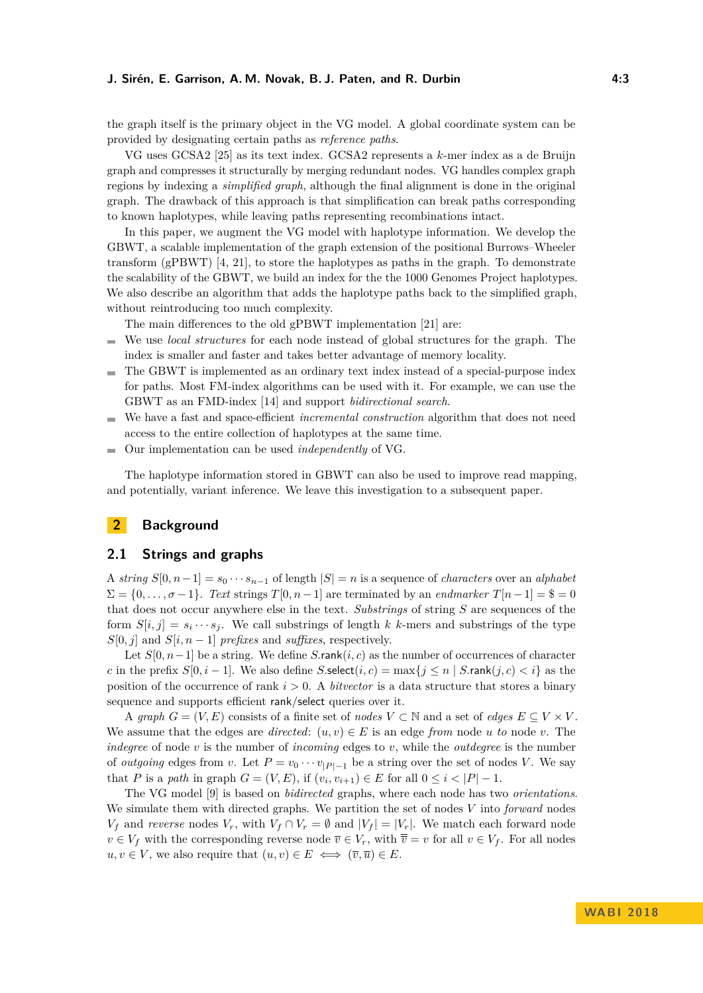#### **J. Sirén, E. Garrison, A. M. Novak, B. J. Paten, and R. Durbin 4:3**

the graph itself is the primary object in the VG model. A global coordinate system can be provided by designating certain paths as *reference paths*.

VG uses GCSA2 [\[25\]](#page-12-12) as its text index. GCSA2 represents a *k*-mer index as a de Bruijn graph and compresses it structurally by merging redundant nodes. VG handles complex graph regions by indexing a *simplified graph*, although the final alignment is done in the original graph. The drawback of this approach is that simplification can break paths corresponding to known haplotypes, while leaving paths representing recombinations intact.

In this paper, we augment the VG model with haplotype information. We develop the GBWT, a scalable implementation of the graph extension of the positional Burrows–Wheeler transform (gPBWT) [\[4,](#page-11-2) [21\]](#page-12-13), to store the haplotypes as paths in the graph. To demonstrate the scalability of the GBWT, we build an index for the the 1000 Genomes Project haplotypes. We also describe an algorithm that adds the haplotype paths back to the simplified graph, without reintroducing too much complexity.

The main differences to the old gPBWT implementation [\[21\]](#page-12-13) are:

- $\blacksquare$ We use *local structures* for each node instead of global structures for the graph. The index is smaller and faster and takes better advantage of memory locality.
- The GBWT is implemented as an ordinary text index instead of a special-purpose index  $\sim$ for paths. Most FM-index algorithms can be used with it. For example, we can use the GBWT as an FMD-index [\[14\]](#page-12-14) and support *bidirectional search*.
- We have a fast and space-efficient *incremental construction* algorithm that does not need  $\sim$ access to the entire collection of haplotypes at the same time.
- Our implementation can be used *independently* of VG.  $\overline{\phantom{a}}$

The haplotype information stored in GBWT can also be used to improve read mapping, and potentially, variant inference. We leave this investigation to a subsequent paper.

# **2 Background**

# **2.1 Strings and graphs**

A *string*  $S[0, n-1] = s_0 \cdots s_{n-1}$  of length  $|S| = n$  is a sequence of *characters* over an *alphabet*  $\Sigma = \{0, \ldots, \sigma-1\}$ . *Text* strings  $T[0, n-1]$  are terminated by an *endmarker*  $T[n-1] = \$ = 0$ that does not occur anywhere else in the text. *Substrings* of string *S* are sequences of the form  $S[i, j] = s_i \cdots s_j$ . We call substrings of length *k k*-mers and substrings of the type  $S[0, j]$  and  $S[i, n - 1]$  *prefixes* and *suffixes*, respectively.

Let *S*[0*, n*−1] be a string. We define *S.*rank(*i, c*) as the number of occurrences of character *c* in the prefix  $S[0, i - 1]$ . We also define  $S$ .select $(i, c) = \max\{j \leq n | S$ .rank $(j, c) < i\}$  as the position of the occurrence of rank *i >* 0. A *bitvector* is a data structure that stores a binary sequence and supports efficient rank/select queries over it.

A *graph*  $G = (V, E)$  consists of a finite set of *nodes*  $V \subset \mathbb{N}$  and a set of *edges*  $E \subseteq V \times V$ . We assume that the edges are *directed*:  $(u, v) \in E$  is an edge *from* node *u to* node *v*. The *indegree* of node *v* is the number of *incoming* edges to *v*, while the *outdegree* is the number of *outgoing* edges from *v*. Let  $P = v_0 \cdots v_{|P|-1}$  be a string over the set of nodes *V*. We say that *P* is a *path* in graph  $G = (V, E)$ , if  $(v_i, v_{i+1}) \in E$  for all  $0 \leq i < |P| - 1$ .

The VG model [\[9\]](#page-11-1) is based on *bidirected* graphs, where each node has two *orientations*. We simulate them with directed graphs. We partition the set of nodes *V* into *forward* nodes *V*<sup>*f*</sup> and *reverse* nodes *V<sub>r</sub>*, with  $V_f \cap V_r = \emptyset$  and  $|V_f| = |V_r|$ . We match each forward node  $v \in V_f$  with the corresponding reverse node  $\overline{v} \in V_r$ , with  $\overline{\overline{v}} = v$  for all  $v \in V_f$ . For all nodes  $u, v \in V$ , we also require that  $(u, v) \in E \iff (\overline{v}, \overline{u}) \in E$ .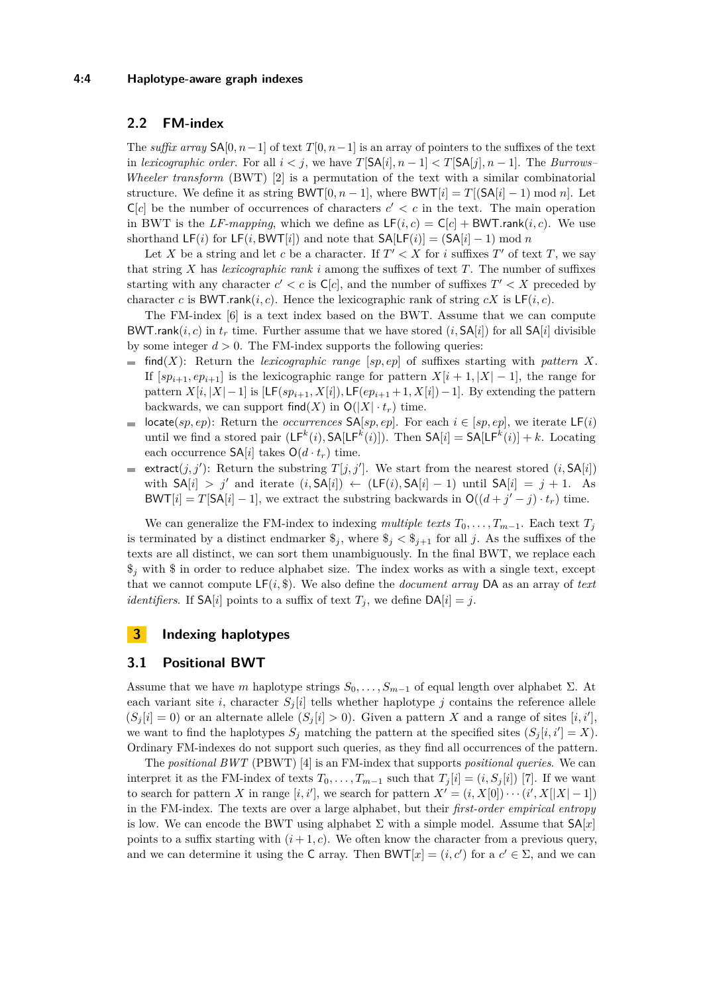# <span id="page-3-0"></span>**2.2 FM-index**

The *suffix array*  $\mathsf{SA}[0, n-1]$  of text  $T[0, n-1]$  is an array of pointers to the suffixes of the text in *lexicographic order*. For all  $i < j$ , we have  $T[\text{SA}[i], n - 1] < T[\text{SA}[j], n - 1]$ . The *Burrows– Wheeler transform* (BWT) [\[2\]](#page-11-3) is a permutation of the text with a similar combinatorial structure. We define it as string  $BWT[0, n-1]$ , where  $BWT[i] = T[(SA[i] - 1) \mod n]$ . Let  $C[c]$  be the number of occurrences of characters  $c' < c$  in the text. The main operation in BWT is the *LF-mapping*, which we define as  $LF(i, c) = C[c] + BWT.random(i, c)$ . We use shorthand  $LF(i)$  for  $LF(i, BWT[i])$  and note that  $SA[LF(i)] = (SA[i] - 1) \text{ mod } n$ 

Let *X* be a string and let *c* be a character. If  $T' < X$  for *i* suffixes  $T'$  of text  $T$ , we say that string  $X$  has *lexicographic rank*  $i$  among the suffixes of text  $T$ . The number of suffixes starting with any character  $c' < c$  is  $C[c]$ , and the number of suffixes  $T' < X$  preceded by character *c* is BWT.rank $(i, c)$ . Hence the lexicographic rank of string  $cX$  is  $LF(i, c)$ .

The FM-index [\[6\]](#page-11-4) is a text index based on the BWT. Assume that we can compute BWT*.rank(i, c)* in  $t_r$  time. Further assume that we have stored (*i*,  $SA[i]$ ) for all  $SA[i]$  divisible by some integer  $d > 0$ . The FM-index supports the following queries:

- $\blacksquare$  find(*X*): Return the *lexicographic range* [*sp, ep*] of suffixes starting with *pattern X*. If  $[sp_{i+1}, ep_{i+1}]$  is the lexicographic range for pattern  $X[i+1, |X|-1]$ , the range for pattern  $X[i, |X| - 1]$  is  $[\mathsf{LF}(sp_{i+1}, X[i]), \mathsf{LF}(ep_{i+1} + 1, X[i]) - 1]$ . By extending the pattern backwards, we can support find(*X*) in  $O(|X| \cdot t_r)$  time.
- locate(*sp*, *ep*): Return the *occurrences*  $SA[sp, ep]$ . For each  $i \in [sp, ep]$ , we iterate  $LF(i)$  $\overline{a}$ until we find a stored pair  $(LF^k(i), SA[LF^k(i)])$ . Then  $SA[i] = SA[LF^k(i)] + k$ . Locating each occurrence  $\mathsf{SA}[i]$  takes  $\mathsf{O}(d \cdot t_r)$  time.
- extract $(j, j')$ : Return the substring  $T[j, j']$ . We start from the nearest stored  $(i, SA[i])$  $\equiv$ with  $SA[i] > j'$  and iterate  $(i, SA[i]) \leftarrow (LF(i), SA[i] - 1)$  until  $SA[i] = j + 1$ . As BWT[*i*] = *T*[SA[*i*] – 1], we extract the substring backwards in  $O((d + j' - j) \cdot t_r)$  time.

We can generalize the FM-index to indexing *multiple texts*  $T_0, \ldots, T_{m-1}$ . Each text  $T_j$ is terminated by a distinct endmarker  $\hat{\mathcal{S}}_j$ , where  $\hat{\mathcal{S}}_j < \hat{\mathcal{S}}_{j+1}$  for all *j*. As the suffixes of the texts are all distinct, we can sort them unambiguously. In the final BWT, we replace each  $\mathcal{F}_j$  with  $\mathcal{F}_j$  in order to reduce alphabet size. The index works as with a single text, except that we cannot compute  $LF(i, \$)$ . We also define the *document array* DA as an array of *text identifiers*. If  $SA[i]$  points to a suffix of text  $T_j$ , we define  $DA[i] = j$ .

# **3 Indexing haplotypes**

# **3.1 Positional BWT**

Assume that we have *m* haplotype strings  $S_0, \ldots, S_{m-1}$  of equal length over alphabet  $\Sigma$ . At each variant site *i*, character  $S_j[i]$  tells whether haplotype *j* contains the reference allele  $(S_j[i] = 0)$  or an alternate allele  $(S_j[i] > 0)$ . Given a pattern *X* and a range of sites  $[i, i']$ , we want to find the haplotypes  $S_j$  matching the pattern at the specified sites  $(S_j[i, i'] = X)$ . Ordinary FM-indexes do not support such queries, as they find all occurrences of the pattern.

The *positional BWT* (PBWT) [\[4\]](#page-11-2) is an FM-index that supports *positional queries*. We can interpret it as the FM-index of texts  $T_0, \ldots, T_{m-1}$  such that  $T_j[i] = (i, S_j[i])$  [\[7\]](#page-11-5). If we want to search for pattern *X* in range  $[i, i']$ , we search for pattern  $X' = (i, X[0]) \cdots (i', X[|X|-1])$ in the FM-index. The texts are over a large alphabet, but their *first-order empirical entropy* is low. We can encode the BWT using alphabet  $\Sigma$  with a simple model. Assume that  $SA[x]$ points to a suffix starting with  $(i + 1, c)$ . We often know the character from a previous query, and we can determine it using the C array. Then  $BWT[x] = (i, c')$  for a  $c' \in \Sigma$ , and we can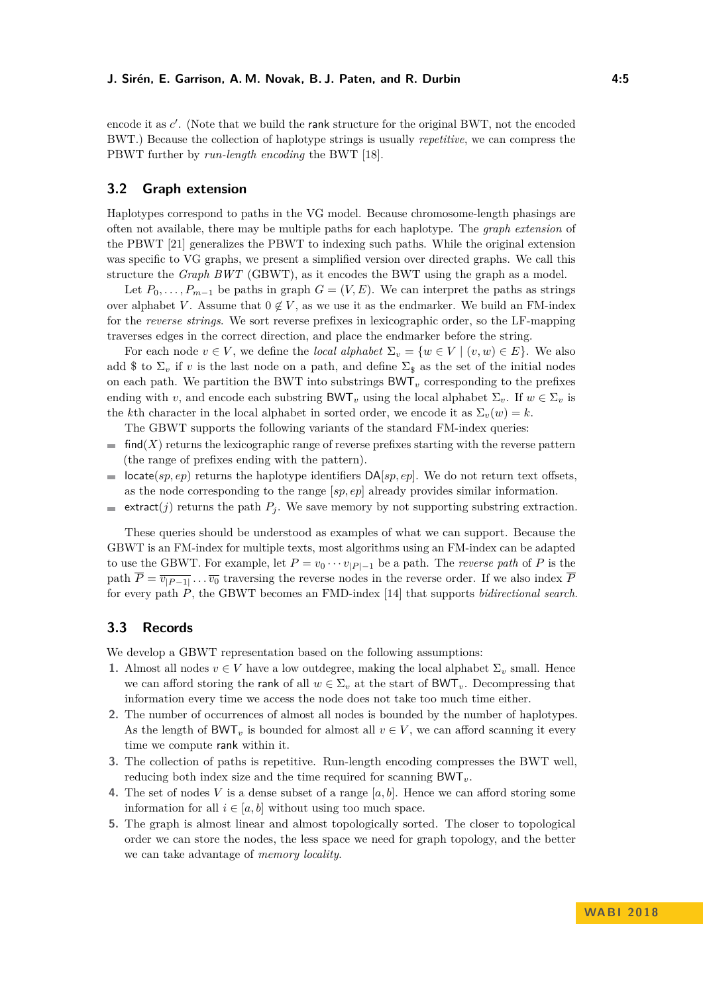encode it as *c'*. (Note that we build the rank structure for the original BWT, not the encoded BWT.) Because the collection of haplotype strings is usually *repetitive*, we can compress the PBWT further by *run-length encoding* the BWT [\[18\]](#page-12-2).

### **3.2 Graph extension**

Haplotypes correspond to paths in the VG model. Because chromosome-length phasings are often not available, there may be multiple paths for each haplotype. The *graph extension* of the PBWT [\[21\]](#page-12-13) generalizes the PBWT to indexing such paths. While the original extension was specific to VG graphs, we present a simplified version over directed graphs. We call this structure the *Graph BWT* (GBWT), as it encodes the BWT using the graph as a model.

Let  $P_0, \ldots, P_{m-1}$  be paths in graph  $G = (V, E)$ . We can interpret the paths as strings over alphabet *V*. Assume that  $0 \notin V$ , as we use it as the endmarker. We build an FM-index for the *reverse strings*. We sort reverse prefixes in lexicographic order, so the LF-mapping traverses edges in the correct direction, and place the endmarker before the string.

For each node  $v \in V$ , we define the *local alphabet*  $\Sigma_v = \{w \in V \mid (v, w) \in E\}$ . We also add \$ to  $\Sigma_v$  if *v* is the last node on a path, and define  $\Sigma_s$  as the set of the initial nodes on each path. We partition the BWT into substrings  $BWT_v$  corresponding to the prefixes ending with *v*, and encode each substring BWT<sub>*v*</sub> using the local alphabet  $\Sigma_v$ . If  $w \in \Sigma_v$  is the *k*th character in the local alphabet in sorted order, we encode it as  $\Sigma_v(w) = k$ .

The GBWT supports the following variants of the standard FM-index queries:

- $\blacksquare$  find(*X*) returns the lexicographic range of reverse prefixes starting with the reverse pattern (the range of prefixes ending with the pattern).
- locate(*sp, ep*) returns the haplotype identifiers DA[*sp, ep*]. We do not return text offsets,  $\sim$ as the node corresponding to the range [*sp, ep*] already provides similar information.
- extract(*j*) returns the path  $P_j$ . We save memory by not supporting substring extraction.

These queries should be understood as examples of what we can support. Because the GBWT is an FM-index for multiple texts, most algorithms using an FM-index can be adapted to use the GBWT. For example, let  $P = v_0 \cdots v_{|P|-1}$  be a path. The *reverse path* of P is the path  $P = \overline{v_{|P-1|}} \dots \overline{v_0}$  traversing the reverse nodes in the reverse order. If we also index *P* for every path *P*, the GBWT becomes an FMD-index [\[14\]](#page-12-14) that supports *bidirectional search*.

# <span id="page-4-0"></span>**3.3 Records**

We develop a GBWT representation based on the following assumptions:

- **1.** Almost all nodes  $v \in V$  have a low outdegree, making the local alphabet  $\Sigma_v$  small. Hence we can afford storing the rank of all  $w \in \Sigma_v$  at the start of BWT<sub>*v*</sub>. Decompressing that information every time we access the node does not take too much time either.
- **2.** The number of occurrences of almost all nodes is bounded by the number of haplotypes. As the length of BWT<sub>*v*</sub> is bounded for almost all  $v \in V$ , we can afford scanning it every time we compute rank within it.
- **3.** The collection of paths is repetitive. Run-length encoding compresses the BWT well, reducing both index size and the time required for scanning BWT*v*.
- **4.** The set of nodes *V* is a dense subset of a range  $[a, b]$ . Hence we can afford storing some information for all  $i \in [a, b]$  without using too much space.
- **5.** The graph is almost linear and almost topologically sorted. The closer to topological order we can store the nodes, the less space we need for graph topology, and the better we can take advantage of *memory locality*.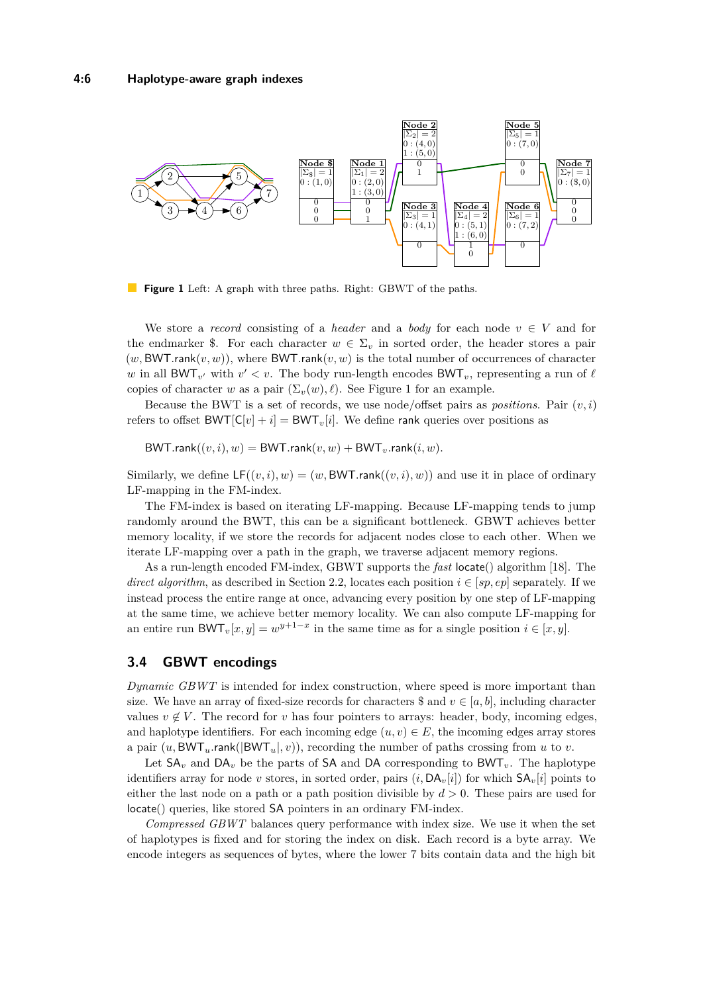<span id="page-5-0"></span>

**Figure 1** Left: A graph with three paths. Right: GBWT of the paths.

We store a *record* consisting of a *header* and a *body* for each node  $v \in V$  and for the endmarker \$. For each character  $w \in \Sigma_v$  in sorted order, the header stores a pair  $(w, BWT.rank(v, w))$ , where  $BWT.rank(v, w)$  is the total number of occurrences of character *w* in all BWT<sub>*v*</sub><sup> $\prime$ </sup> with  $v' < v$ . The body run-length encodes BWT<sub>*v*</sub>, representing a run of  $\ell$ copies of character *w* as a pair  $(\Sigma_v(w), \ell)$ . See Figure [1](#page-5-0) for an example.

Because the BWT is a set of records, we use node/offset pairs as *positions*. Pair  $(v, i)$ refers to offset  $BWT[C|v] + i] = BWT<sub>v</sub>[i]$ . We define rank queries over positions as

 $BWT.random((v, i), w) = BWT.random(v, w) + BWT_v.random(i, w)$ .

Similarly, we define  $LF((v, i), w) = (w, BWT.\text{rank}((v, i), w))$  and use it in place of ordinary LF-mapping in the FM-index.

The FM-index is based on iterating LF-mapping. Because LF-mapping tends to jump randomly around the BWT, this can be a significant bottleneck. GBWT achieves better memory locality, if we store the records for adjacent nodes close to each other. When we iterate LF-mapping over a path in the graph, we traverse adjacent memory regions.

As a run-length encoded FM-index, GBWT supports the *fast* locate() algorithm [\[18\]](#page-12-2). The *direct algorithm*, as described in Section [2.2,](#page-3-0) locates each position  $i \in [sp, ep]$  separately. If we instead process the entire range at once, advancing every position by one step of LF-mapping at the same time, we achieve better memory locality. We can also compute LF-mapping for an entire run BWT<sub>*v*</sub>[ $x, y$ ] =  $w^{y+1-x}$  in the same time as for a single position  $i \in [x, y]$ .

### **3.4 GBWT encodings**

*Dynamic GBWT* is intended for index construction, where speed is more important than size. We have an array of fixed-size records for characters  $\$  and  $v \in [a, b]$ , including character values  $v \notin V$ . The record for *v* has four pointers to arrays: header, body, incoming edges, and haplotype identifiers. For each incoming edge  $(u, v) \in E$ , the incoming edges array stores a pair  $(u, BWT_u$ **rank**( $|BWT_u|, v$ )), recording the number of paths crossing from *u* to *v*.

Let  $SA_v$  and  $DA_v$  be the parts of SA and DA corresponding to  $BWT_v$ . The haplotype identifiers array for node *v* stores, in sorted order, pairs  $(i, DA_v[i])$  for which  $SA_v[i]$  points to either the last node on a path or a path position divisible by *d >* 0. These pairs are used for locate() queries, like stored SA pointers in an ordinary FM-index.

*Compressed GBWT* balances query performance with index size. We use it when the set of haplotypes is fixed and for storing the index on disk. Each record is a byte array. We encode integers as sequences of bytes, where the lower 7 bits contain data and the high bit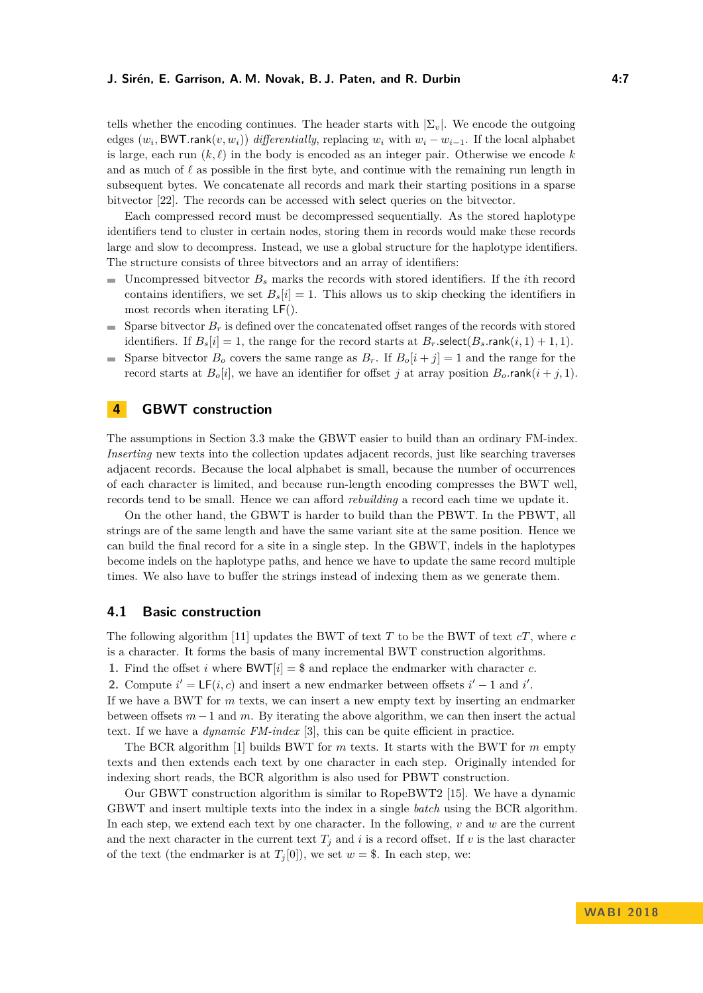#### **J. Sirén, E. Garrison, A. M. Novak, B. J. Paten, and R. Durbin 4:7**

tells whether the encoding continues. The header starts with  $|\Sigma_{v}|$ . We encode the outgoing edges  $(w_i, \text{BWT.rank}(v, w_i))$  *differentially*, replacing  $w_i$  with  $w_i - w_{i-1}$ . If the local alphabet is large, each run  $(k, \ell)$  in the body is encoded as an integer pair. Otherwise we encode k and as much of  $\ell$  as possible in the first byte, and continue with the remaining run length in subsequent bytes. We concatenate all records and mark their starting positions in a sparse bitvector [\[22\]](#page-12-15). The records can be accessed with select queries on the bitvector.

Each compressed record must be decompressed sequentially. As the stored haplotype identifiers tend to cluster in certain nodes, storing them in records would make these records large and slow to decompress. Instead, we use a global structure for the haplotype identifiers. The structure consists of three bitvectors and an array of identifiers:

- $\blacksquare$  Uncompressed bitvector  $B_s$  marks the records with stored identifiers. If the *i*th record contains identifiers, we set  $B_s[i] = 1$ . This allows us to skip checking the identifiers in most records when iterating LF().
- Sparse bitvector  $B_r$  is defined over the concatenated offset ranges of the records with stored  $\mathbf{r}$ identifiers. If  $B_s[i] = 1$ , the range for the record starts at  $B_r$ *.*select( $B_s$ *.rank*(*i*, 1) + 1, 1).
- Sparse bitvector  $B<sub>o</sub>$  covers the same range as  $B<sub>r</sub>$ . If  $B<sub>o</sub>[i + j] = 1$  and the range for the record starts at  $B_o[i]$ , we have an identifier for offset *j* at array position  $B_o$  rank $(i + j, 1)$ .

# **4 GBWT construction**

The assumptions in Section [3.3](#page-4-0) make the GBWT easier to build than an ordinary FM-index. *Inserting* new texts into the collection updates adjacent records, just like searching traverses adjacent records. Because the local alphabet is small, because the number of occurrences of each character is limited, and because run-length encoding compresses the BWT well, records tend to be small. Hence we can afford *rebuilding* a record each time we update it.

On the other hand, the GBWT is harder to build than the PBWT. In the PBWT, all strings are of the same length and have the same variant site at the same position. Hence we can build the final record for a site in a single step. In the GBWT, indels in the haplotypes become indels on the haplotype paths, and hence we have to update the same record multiple times. We also have to buffer the strings instead of indexing them as we generate them.

### **4.1 Basic construction**

The following algorithm [\[11\]](#page-12-16) updates the BWT of text *T* to be the BWT of text *cT*, where *c* is a character. It forms the basis of many incremental BWT construction algorithms.

**1.** Find the offset *i* where  $BWT[i] = $$  and replace the endmarker with character *c*.

2. Compute  $i' = LF(i, c)$  and insert a new endmarker between offsets  $i' - 1$  and  $i'$ .

If we have a BWT for *m* texts, we can insert a new empty text by inserting an endmarker between offsets *m* −1 and *m*. By iterating the above algorithm, we can then insert the actual text. If we have a *dynamic FM-index* [\[3\]](#page-11-6), this can be quite efficient in practice.

The BCR algorithm [\[1\]](#page-11-7) builds BWT for *m* texts. It starts with the BWT for *m* empty texts and then extends each text by one character in each step. Originally intended for indexing short reads, the BCR algorithm is also used for PBWT construction.

Our GBWT construction algorithm is similar to RopeBWT2 [\[15\]](#page-12-17). We have a dynamic GBWT and insert multiple texts into the index in a single *batch* using the BCR algorithm. In each step, we extend each text by one character. In the following, *v* and *w* are the current and the next character in the current text  $T_j$  and  $i$  is a record offset. If  $v$  is the last character of the text (the endmarker is at  $T_j[0]$ ), we set  $w = $$ . In each step, we: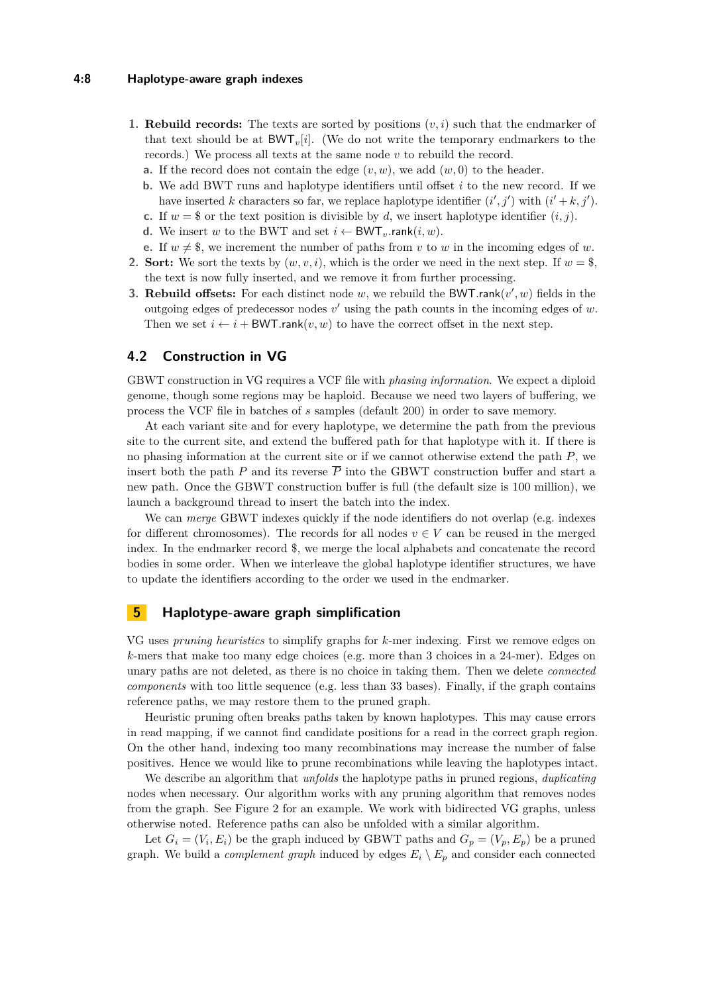#### **4:8 Haplotype-aware graph indexes**

- **1. Rebuild records:** The texts are sorted by positions  $(v, i)$  such that the endmarker of that text should be at  $BWT_v[i]$ . (We do not write the temporary endmarkers to the records.) We process all texts at the same node *v* to rebuild the record.
	- **a.** If the record does not contain the edge  $(v, w)$ , we add  $(w, 0)$  to the header.
	- **b.** We add BWT runs and haplotype identifiers until offset *i* to the new record. If we have inserted *k* characters so far, we replace haplotype identifier  $(i', j')$  with  $(i' + k, j')$ .
	- **c.** If  $w = \$$  or the text position is divisible by *d*, we insert haplotype identifier  $(i, j)$ .
	- **d.** We insert *w* to the BWT and set  $i \leftarrow BWT_{v}$ *rank* $(i, w)$ *.*
	- **e.** If  $w \neq \$$ , we increment the number of paths from *v* to *w* in the incoming edges of *w*.
- **2. Sort:** We sort the texts by  $(w, v, i)$ , which is the order we need in the next step. If  $w =$  \$, the text is now fully inserted, and we remove it from further processing.
- **3. Rebuild offsets:** For each distinct node  $w$ , we rebuild the BWT.rank $(v', w)$  fields in the outgoing edges of predecessor nodes  $v'$  using the path counts in the incoming edges of  $w$ . Then we set  $i \leftarrow i + BWT.\text{rank}(v, w)$  to have the correct offset in the next step.

# **4.2 Construction in VG**

GBWT construction in VG requires a VCF file with *phasing information*. We expect a diploid genome, though some regions may be haploid. Because we need two layers of buffering, we process the VCF file in batches of *s* samples (default 200) in order to save memory.

At each variant site and for every haplotype, we determine the path from the previous site to the current site, and extend the buffered path for that haplotype with it. If there is no phasing information at the current site or if we cannot otherwise extend the path *P*, we insert both the path *P* and its reverse  $\overline{P}$  into the GBWT construction buffer and start a new path. Once the GBWT construction buffer is full (the default size is 100 million), we launch a background thread to insert the batch into the index.

We can *merge* GBWT indexes quickly if the node identifiers do not overlap (e.g. indexes for different chromosomes). The records for all nodes  $v \in V$  can be reused in the merged index. In the endmarker record \$, we merge the local alphabets and concatenate the record bodies in some order. When we interleave the global haplotype identifier structures, we have to update the identifiers according to the order we used in the endmarker.

### **5 Haplotype-aware graph simplification**

VG uses *pruning heuristics* to simplify graphs for *k*-mer indexing. First we remove edges on *k*-mers that make too many edge choices (e.g. more than 3 choices in a 24-mer). Edges on unary paths are not deleted, as there is no choice in taking them. Then we delete *connected components* with too little sequence (e.g. less than 33 bases). Finally, if the graph contains reference paths, we may restore them to the pruned graph.

Heuristic pruning often breaks paths taken by known haplotypes. This may cause errors in read mapping, if we cannot find candidate positions for a read in the correct graph region. On the other hand, indexing too many recombinations may increase the number of false positives. Hence we would like to prune recombinations while leaving the haplotypes intact.

We describe an algorithm that *unfolds* the haplotype paths in pruned regions, *duplicating* nodes when necessary. Our algorithm works with any pruning algorithm that removes nodes from the graph. See Figure [2](#page-8-0) for an example. We work with bidirected VG graphs, unless otherwise noted. Reference paths can also be unfolded with a similar algorithm.

Let  $G_i = (V_i, E_i)$  be the graph induced by GBWT paths and  $G_p = (V_p, E_p)$  be a pruned graph. We build a *complement graph* induced by edges  $E_i \setminus E_p$  and consider each connected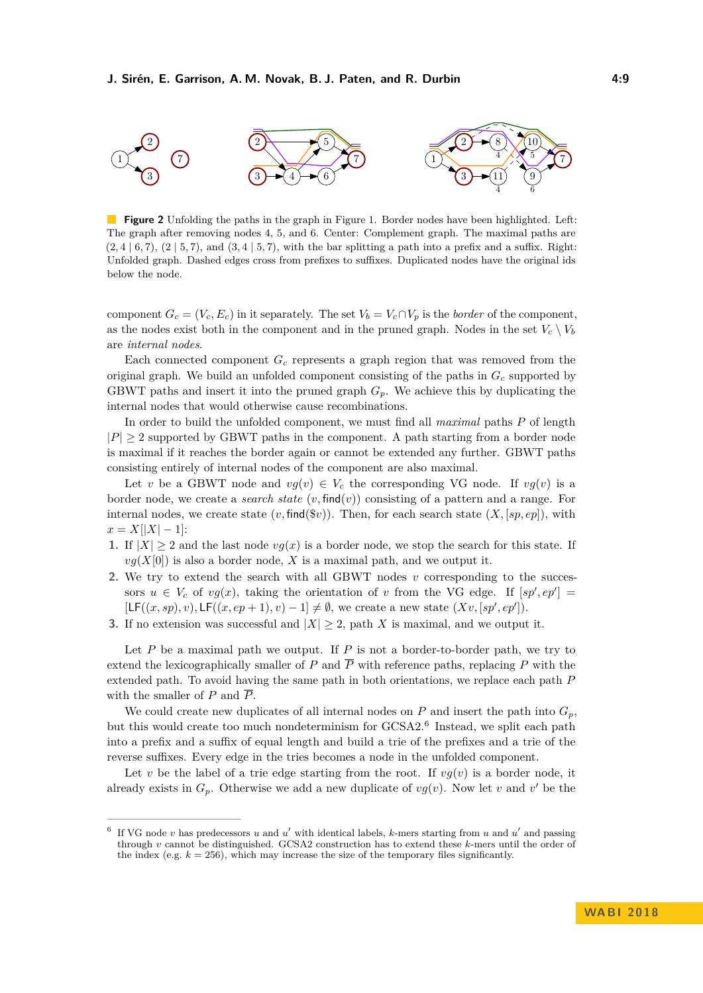<span id="page-8-0"></span>

**Figure 2** Unfolding the paths in the graph in Figure [1.](#page-5-0) Border nodes have been highlighted. Left: The graph after removing nodes 4, 5, and 6. Center: Complement graph. The maximal paths are  $(2, 4 \mid 6, 7)$ ,  $(2 \mid 5, 7)$ , and  $(3, 4 \mid 5, 7)$ , with the bar splitting a path into a prefix and a suffix. Right: Unfolded graph. Dashed edges cross from prefixes to suffixes. Duplicated nodes have the original ids below the node.

component  $G_c = (V_c, E_c)$  in it separately. The set  $V_b = V_c \cap V_p$  is the *border* of the component, as the nodes exist both in the component and in the pruned graph. Nodes in the set  $V_c \setminus V_b$ are *internal nodes*.

Each connected component *G<sup>c</sup>* represents a graph region that was removed from the original graph. We build an unfolded component consisting of the paths in *G<sup>c</sup>* supported by GBWT paths and insert it into the pruned graph  $G_p$ . We achieve this by duplicating the internal nodes that would otherwise cause recombinations.

In order to build the unfolded component, we must find all *maximal* paths *P* of length  $|P| > 2$  supported by GBWT paths in the component. A path starting from a border node is maximal if it reaches the border again or cannot be extended any further. GBWT paths consisting entirely of internal nodes of the component are also maximal.

Let *v* be a GBWT node and  $vg(v) \in V_c$  the corresponding VG node. If  $vg(v)$  is a border node, we create a *search state* (*v,* find(*v*)) consisting of a pattern and a range. For internal nodes, we create state  $(v, \text{find}(\$v))$ . Then, for each search state  $(X, [sp, ep])$ , with  $x = X[|X| - 1]$ :

- **1.** If  $|X| \geq 2$  and the last node  $vg(x)$  is a border node, we stop the search for this state. If  $vg(X[0])$  is also a border node, X is a maximal path, and we output it.
- **2.** We try to extend the search with all GBWT nodes *v* corresponding to the successors  $u \in V_c$  of  $vg(x)$ , taking the orientation of *v* from the VG edge. If  $[sp', ep'] =$  $[\mathsf{LF}((x, sp), v), \mathsf{LF}((x, ep+1), v) - 1] \neq \emptyset$ , we create a new state  $(Xv, [sp', ep'])$ .
- **3.** If no extension was successful and  $|X| \geq 2$ , path *X* is maximal, and we output it.

Let  $P$  be a maximal path we output. If  $P$  is not a border-to-border path, we try to extend the lexicographically smaller of *P* and  $\overline{P}$  with reference paths, replacing *P* with the extended path. To avoid having the same path in both orientations, we replace each path *P* with the smaller of  $P$  and  $\overline{P}$ .

We could create new duplicates of all internal nodes on  $P$  and insert the path into  $G_p$ , but this would create too much nondeterminism for GCSA2.<sup>[6](#page-8-1)</sup> Instead, we split each path into a prefix and a suffix of equal length and build a trie of the prefixes and a trie of the reverse suffixes. Every edge in the tries becomes a node in the unfolded component.

Let *v* be the label of a trie edge starting from the root. If  $vg(v)$  is a border node, it already exists in  $G_p$ . Otherwise we add a new duplicate of  $vg(v)$ . Now let *v* and *v*' be the

<span id="page-8-1"></span><sup>6</sup> If VG node  $v$  has predecessors  $u$  and  $u'$  with identical labels,  $k$ -mers starting from  $u$  and  $u'$  and passing through *v* cannot be distinguished. GCSA2 construction has to extend these *k*-mers until the order of the index (e.g.  $k = 256$ ), which may increase the size of the temporary files significantly.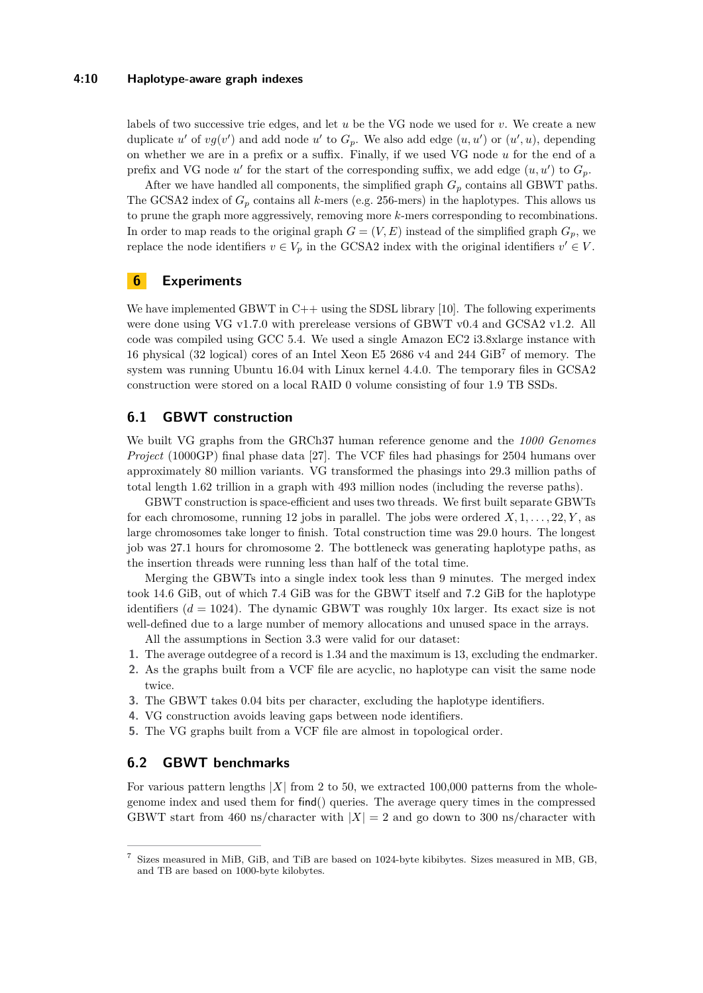#### **4:10 Haplotype-aware graph indexes**

labels of two successive trie edges, and let *u* be the VG node we used for *v*. We create a new duplicate  $u'$  of  $vg(v')$  and add node  $u'$  to  $G_p$ . We also add edge  $(u, u')$  or  $(u', u)$ , depending on whether we are in a prefix or a suffix. Finally, if we used VG node *u* for the end of a prefix and VG node  $u'$  for the start of the corresponding suffix, we add edge  $(u, u')$  to  $G_p$ .

After we have handled all components, the simplified graph  $G_p$  contains all GBWT paths. The GCSA2 index of  $G_p$  contains all *k*-mers (e.g. 256-mers) in the haplotypes. This allows us to prune the graph more aggressively, removing more *k*-mers corresponding to recombinations. In order to map reads to the original graph  $G = (V, E)$  instead of the simplified graph  $G_p$ , we replace the node identifiers  $v \in V_p$  in the GCSA2 index with the original identifiers  $v' \in V$ .

# **6 Experiments**

We have implemented GBWT in  $C++$  using the SDSL library [\[10\]](#page-12-18). The following experiments were done using VG v1.7.0 with prerelease versions of GBWT v0.4 and GCSA2 v1.2. All code was compiled using GCC 5.4. We used a single Amazon EC2 i3.8xlarge instance with 16 physical (32 logical) cores of an Intel Xeon E5 2686 v4 and 244  $GB<sup>7</sup>$  $GB<sup>7</sup>$  $GB<sup>7</sup>$  of memory. The system was running Ubuntu 16.04 with Linux kernel 4.4.0. The temporary files in GCSA2 construction were stored on a local RAID 0 volume consisting of four 1.9 TB SSDs.

# **6.1 GBWT construction**

We built VG graphs from the GRCh37 human reference genome and the *1000 Genomes Project* (1000GP) final phase data [\[27\]](#page-12-19). The VCF files had phasings for 2504 humans over approximately 80 million variants. VG transformed the phasings into 29.3 million paths of total length 1.62 trillion in a graph with 493 million nodes (including the reverse paths).

GBWT construction is space-efficient and uses two threads. We first built separate GBWTs for each chromosome, running 12 jobs in parallel. The jobs were ordered *X,* 1*, . . . ,* 22*, Y* , as large chromosomes take longer to finish. Total construction time was 29.0 hours. The longest job was 27.1 hours for chromosome 2. The bottleneck was generating haplotype paths, as the insertion threads were running less than half of the total time.

Merging the GBWTs into a single index took less than 9 minutes. The merged index took 14.6 GiB, out of which 7.4 GiB was for the GBWT itself and 7.2 GiB for the haplotype identifiers  $(d = 1024)$ . The dynamic GBWT was roughly 10x larger. Its exact size is not well-defined due to a large number of memory allocations and unused space in the arrays.

- All the assumptions in Section [3.3](#page-4-0) were valid for our dataset:
- **1.** The average outdegree of a record is 1*.*34 and the maximum is 13, excluding the endmarker.
- **2.** As the graphs built from a VCF file are acyclic, no haplotype can visit the same node twice.
- **3.** The GBWT takes 0.04 bits per character, excluding the haplotype identifiers.
- **4.** VG construction avoids leaving gaps between node identifiers.
- **5.** The VG graphs built from a VCF file are almost in topological order.

### **6.2 GBWT benchmarks**

For various pattern lengths  $|X|$  from 2 to 50, we extracted 100,000 patterns from the wholegenome index and used them for find() queries. The average query times in the compressed GBWT start from 460 ns/character with  $|X| = 2$  and go down to 300 ns/character with

<span id="page-9-0"></span><sup>7</sup> Sizes measured in MiB, GiB, and TiB are based on 1024-byte kibibytes. Sizes measured in MB, GB, and TB are based on 1000-byte kilobytes.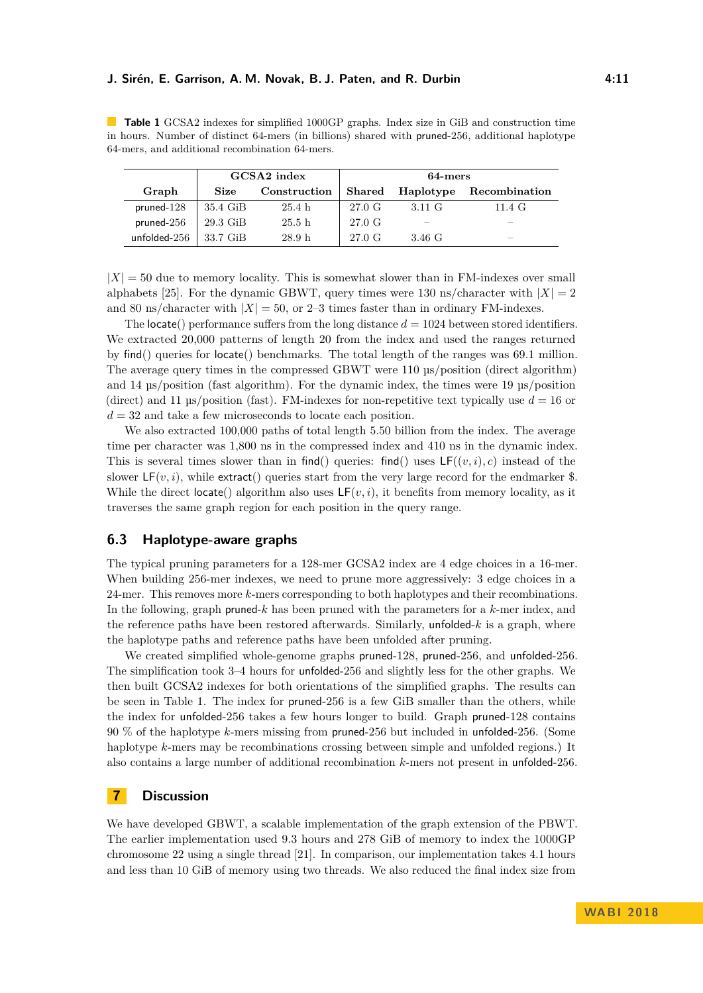#### **J. Sirén, E. Garrison, A. M. Novak, B. J. Paten, and R. Durbin 1998 1998 11:11**

<span id="page-10-0"></span>**Table 1** GCSA2 indexes for simplified 1000GP graphs. Index size in GiB and construction time in hours. Number of distinct 64-mers (in billions) shared with pruned-256, additional haplotype 64-mers, and additional recombination 64-mers.

|              | GCSA2 index       |                   | 64-mers |           |               |
|--------------|-------------------|-------------------|---------|-----------|---------------|
| Graph        | <b>Size</b>       | Construction      | Shared  | Haplotype | Recombination |
| $pruned-128$ | 35.4 GiB          | 25.4 h            | 27.0 G  | 3.11 G    | 11.4 $G$      |
| $pruned-256$ | $29.3\text{ GiB}$ | 25.5 <sub>h</sub> | 27.0 G  |           |               |
| unfolded-256 | 33.7 GiB          | 28.9 <sub>h</sub> | 27.0 G  | 3.46 G    | _             |

 $|X| = 50$  due to memory locality. This is somewhat slower than in FM-indexes over small alphabets [\[25\]](#page-12-12). For the dynamic GBWT, query times were 130 ns/character with  $|X| = 2$ and 80 ns/character with  $|X| = 50$ , or 2–3 times faster than in ordinary FM-indexes.

The locate() performance suffers from the long distance  $d = 1024$  between stored identifiers. We extracted 20,000 patterns of length 20 from the index and used the ranges returned by find() queries for locate() benchmarks. The total length of the ranges was 69.1 million. The average query times in the compressed GBWT were 110 µs/position (direct algorithm) and 14 µs/position (fast algorithm). For the dynamic index, the times were 19 µs/position (direct) and 11  $\mu$ s/position (fast). FM-indexes for non-repetitive text typically use  $d = 16$  or  $d = 32$  and take a few microseconds to locate each position.

We also extracted 100,000 paths of total length 5.50 billion from the index. The average time per character was 1,800 ns in the compressed index and 410 ns in the dynamic index. This is several times slower than in find() queries: find() uses  $LF((v, i), c)$  instead of the slower  $LF(v, i)$ , while extract() queries start from the very large record for the endmarker \$. While the direct locate() algorithm also uses  $LF(v, i)$ , it benefits from memory locality, as it traverses the same graph region for each position in the query range.

# **6.3 Haplotype-aware graphs**

The typical pruning parameters for a 128-mer GCSA2 index are 4 edge choices in a 16-mer. When building 256-mer indexes, we need to prune more aggressively: 3 edge choices in a 24-mer. This removes more *k*-mers corresponding to both haplotypes and their recombinations. In the following, graph pruned-*k* has been pruned with the parameters for a *k*-mer index, and the reference paths have been restored afterwards. Similarly, unfolded-*k* is a graph, where the haplotype paths and reference paths have been unfolded after pruning.

We created simplified whole-genome graphs pruned-128, pruned-256, and unfolded-256. The simplification took 3–4 hours for unfolded-256 and slightly less for the other graphs. We then built GCSA2 indexes for both orientations of the simplified graphs. The results can be seen in Table [1.](#page-10-0) The index for pruned-256 is a few GiB smaller than the others, while the index for unfolded-256 takes a few hours longer to build. Graph pruned-128 contains 90 % of the haplotype *k*-mers missing from pruned-256 but included in unfolded-256. (Some haplotype *k*-mers may be recombinations crossing between simple and unfolded regions.) It also contains a large number of additional recombination *k*-mers not present in unfolded-256.

# **7 Discussion**

We have developed GBWT, a scalable implementation of the graph extension of the PBWT. The earlier implementation used 9.3 hours and 278 GiB of memory to index the 1000GP chromosome 22 using a single thread [\[21\]](#page-12-13). In comparison, our implementation takes 4.1 hours and less than 10 GiB of memory using two threads. We also reduced the final index size from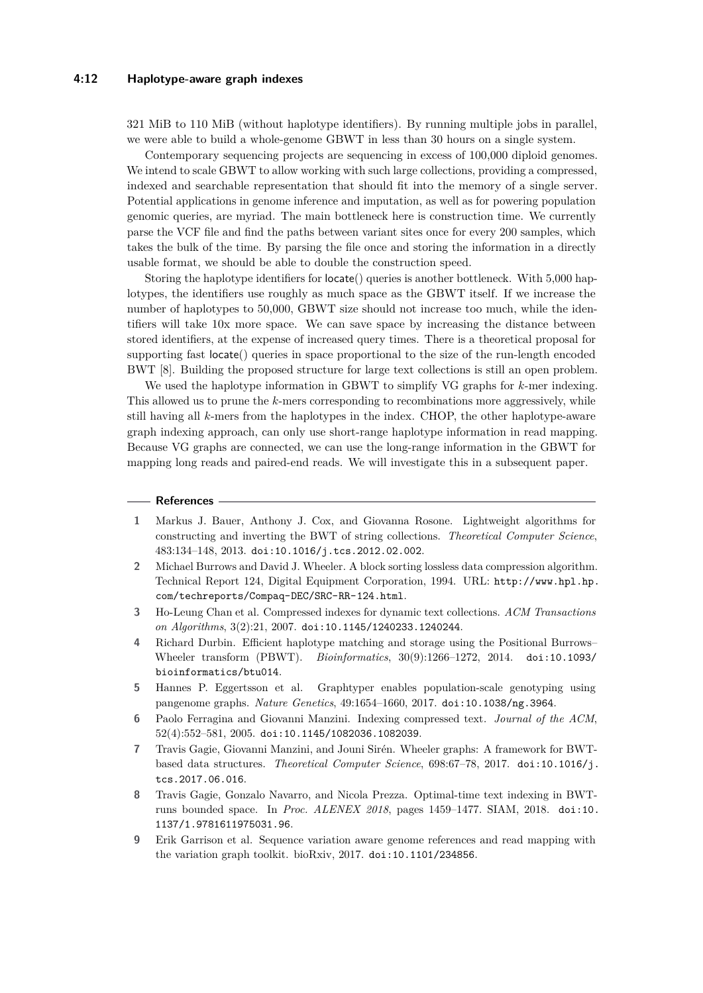321 MiB to 110 MiB (without haplotype identifiers). By running multiple jobs in parallel, we were able to build a whole-genome GBWT in less than 30 hours on a single system.

Contemporary sequencing projects are sequencing in excess of 100,000 diploid genomes. We intend to scale GBWT to allow working with such large collections, providing a compressed, indexed and searchable representation that should fit into the memory of a single server. Potential applications in genome inference and imputation, as well as for powering population genomic queries, are myriad. The main bottleneck here is construction time. We currently parse the VCF file and find the paths between variant sites once for every 200 samples, which takes the bulk of the time. By parsing the file once and storing the information in a directly usable format, we should be able to double the construction speed.

Storing the haplotype identifiers for locate() queries is another bottleneck. With 5,000 haplotypes, the identifiers use roughly as much space as the GBWT itself. If we increase the number of haplotypes to 50,000, GBWT size should not increase too much, while the identifiers will take 10x more space. We can save space by increasing the distance between stored identifiers, at the expense of increased query times. There is a theoretical proposal for supporting fast locate() queries in space proportional to the size of the run-length encoded BWT [\[8\]](#page-11-8). Building the proposed structure for large text collections is still an open problem.

We used the haplotype information in GBWT to simplify VG graphs for *k*-mer indexing. This allowed us to prune the *k*-mers corresponding to recombinations more aggressively, while still having all *k*-mers from the haplotypes in the index. CHOP, the other haplotype-aware graph indexing approach, can only use short-range haplotype information in read mapping. Because VG graphs are connected, we can use the long-range information in the GBWT for mapping long reads and paired-end reads. We will investigate this in a subsequent paper.

#### **References**

- <span id="page-11-7"></span>**1** Markus J. Bauer, Anthony J. Cox, and Giovanna Rosone. Lightweight algorithms for constructing and inverting the BWT of string collections. *Theoretical Computer Science*, 483:134–148, 2013. [doi:10.1016/j.tcs.2012.02.002](http://dx.doi.org/10.1016/j.tcs.2012.02.002).
- <span id="page-11-3"></span>**2** Michael Burrows and David J. Wheeler. A block sorting lossless data compression algorithm. Technical Report 124, Digital Equipment Corporation, 1994. URL: [http://www.hpl.hp.](http://www.hpl.hp.com/techreports/Compaq-DEC/SRC-RR-124.html) [com/techreports/Compaq-DEC/SRC-RR-124.html](http://www.hpl.hp.com/techreports/Compaq-DEC/SRC-RR-124.html).
- <span id="page-11-6"></span>**3** Ho-Leung Chan et al. Compressed indexes for dynamic text collections. *ACM Transactions on Algorithms*, 3(2):21, 2007. [doi:10.1145/1240233.1240244](http://dx.doi.org/10.1145/1240233.1240244).
- <span id="page-11-2"></span>**4** Richard Durbin. Efficient haplotype matching and storage using the Positional Burrows– Wheeler transform (PBWT). *Bioinformatics*, 30(9):1266–1272, 2014. [doi:10.1093/](http://dx.doi.org/10.1093/bioinformatics/btu014) [bioinformatics/btu014](http://dx.doi.org/10.1093/bioinformatics/btu014).
- <span id="page-11-0"></span>**5** Hannes P. Eggertsson et al. Graphtyper enables population-scale genotyping using pangenome graphs. *Nature Genetics*, 49:1654–1660, 2017. [doi:10.1038/ng.3964](http://dx.doi.org/10.1038/ng.3964).
- <span id="page-11-4"></span>**6** Paolo Ferragina and Giovanni Manzini. Indexing compressed text. *Journal of the ACM*, 52(4):552–581, 2005. [doi:10.1145/1082036.1082039](http://dx.doi.org/10.1145/1082036.1082039).
- <span id="page-11-5"></span>**7** Travis Gagie, Giovanni Manzini, and Jouni Sirén. Wheeler graphs: A framework for BWTbased data structures. *Theoretical Computer Science*, 698:67–78, 2017. [doi:10.1016/j.](http://dx.doi.org/10.1016/j.tcs.2017.06.016) [tcs.2017.06.016](http://dx.doi.org/10.1016/j.tcs.2017.06.016).
- <span id="page-11-8"></span>**8** Travis Gagie, Gonzalo Navarro, and Nicola Prezza. Optimal-time text indexing in BWTruns bounded space. In *Proc. ALENEX 2018*, pages 1459–1477. SIAM, 2018. [doi:10.](http://dx.doi.org/10.1137/1.9781611975031.96) [1137/1.9781611975031.96](http://dx.doi.org/10.1137/1.9781611975031.96).
- <span id="page-11-1"></span>**9** Erik Garrison et al. Sequence variation aware genome references and read mapping with the variation graph toolkit. bioRxiv, 2017. [doi:10.1101/234856](http://dx.doi.org/10.1101/234856).